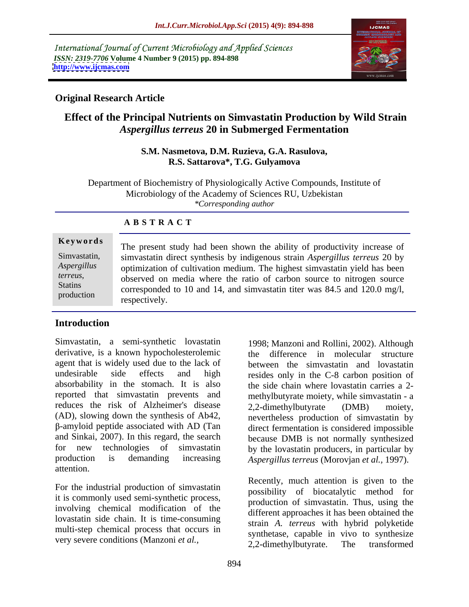International Journal of Current Microbiology and Applied Sciences *ISSN: 2319-7706* **Volume 4 Number 9 (2015) pp. 894-898 <http://www.ijcmas.com>**



### **Original Research Article**

# **Effect of the Principal Nutrients on Simvastatin Production by Wild Strain**  *Aspergillus terreus* **20 in Submerged Fermentation**

### **S.M. Nasmetova, D.M. Ruzieva, G.A. Rasulova, R.S. Sattarova\*, T.G. Gulyamova**

Department of Biochemistry of Physiologically Active Compounds, Institute of Microbiology of the Academy of Sciences RU, Uzbekistan *\*Corresponding author*

# **A B S T R A C T**

production

**Keywords** The present study had been shown the ability of productivity increase of simvastatin direct synthesis by indigenous strain *Aspergillus terreus* 20 by Simvastatin, optimization of cultivation medium. The highest simvastatin yield has been *Aspergillus terreus*, observed on media where the ratio of carbon source to nitrogen source<br>Statins corresponded to 10 and 14 and sinusoratin titer was 84.5 and 120.0 mg/l corresponded to 10 and 14, and simvastatin titer was 84.5 and 120.0 mg/l, respectively.

### **Introduction**

Simvastatin, a semi-synthetic lovastatin derivative, is a known hypocholesterolemic agent that is widely used due to the lack of undesirable side effects and high resides only in the C-8 carbon position of absorbability in the stomach. It is also reported that simvastatin prevents and methylbutyrate moiety, while simvastatin - a reduces the risk of Alzheimer's disease  $2,2$ -dimethylbutyrate (DMB) moiety, (AD), slowing down the synthesis of Ab42, nevertheless production of simvastatin by and Sinkai, 2007). In this regard, the search because DMB is not normally synthesized for new technologies of simvastatin by the lovastatin producers, in particular by production is demanding increasing *Aspergillus terreus* (Morovjan *et al.,* 1997). attention.

For the industrial production of simvastatin it is commonly used semi-synthetic process, involving chemical modification of the lovastatin side chain. It is time-consuming multi-step chemical process that occurs in

-amyloid peptide associated with AD (Tan direct fermentation is considered impossible 1998; Manzoni and Rollini, 2002). Although the difference in molecular structure between the simvastatin and lovastatin the side chain where lovastatin carries a 2- 2,2-dimethylbutyrate (DMB) moiety,

very severe conditions (Manzoni *et al.*,<br>2.2-dimethylbutyrate. The transformed Recently, much attention is given to the possibility of biocatalytic method for production of simvastatin. Thus, using the different approaches it has been obtained the strain *A. terreus* with hybrid polyketide synthetase, capable in vivo to synthesize 2,2-dimethylbutyrate. The transformed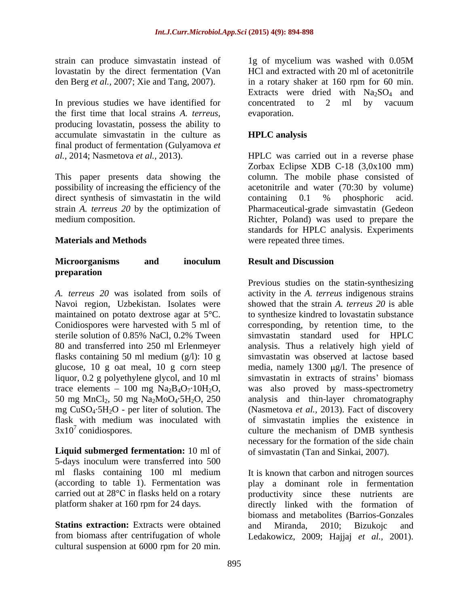In previous studies we have identified for concentrated to 2 ml by vacuum the first time that local strains *A. terreus*, evaporation.<br>producing lovastatin, possess the ability to accumulate simvastatin in the culture as **HPLC** analysis final product of fermentation (Gulyamova *et* 

This paper presents data showing the column. The mobile phase consisted of possibility of increasing the efficiency of the direct synthesis of simvastatin in the wild<br>strain A. terreus 20 by the optimization of Pharmaceutical-grade simvastatin (Gedeon strain *A. terreus 20* by the optimization of Pharmaceutical-grade simvastatin (Gedeon medium composition. Richter, Poland) was used to prepare the

### **Microorganisms and inoculum preparation**

Navoi region, Uzbekistan. Isolates were maintained on potato dextrose agar at 5°C. flasks containing 50 ml medium (g/l): 10 g

**Liquid submerged fermentation:** 10 ml of 5-days inoculum were transferred into 500 ml flasks containing 100 ml medium It is known that carbon and nitrogen sources

**Statins extraction:** Extracts were obtained and Miranda, 2010: Bizukoic and from biomass after centrifugation of whole Ledakowicz, 2009; Hajjaj *et al.*, 2001). cultural suspension at 6000 rpm for 20 min.

strain can produce simvastatin instead of 1g of mycelium was washed with 0.05M lovastatin by the direct fermentation (Van HCl and extracted with 20 ml of acetonitrile den Berg *et al.,* 2007; Xie and Tang, 2007). in a rotary shaker at 160 rpm for 60 min. Extracts were dried with  $Na<sub>2</sub>SO<sub>4</sub>$  and concentrated to 2 ml by vacuum evaporation.

## **HPLC analysis**

*al.,* 2014; Nasmetova *et al.,* 2013). HPLC was carried out in a reverse phase **Materials and Methods** were repeated three times. Zorbax Eclipse XDB C-18 (3,0x100 mm) acetonitrile and water (70:30 by volume) containing 0.1 % phosphoric acid. standards for HPLC analysis. Experiments

### **Result and Discussion**

*A. terreus 20* was isolated from soils of activity in the *A. terreus* indigenous strains Conidiospores were harvested with 5 ml of corresponding, by retention time, to the sterile solution of 0.85% NaCl, 0.2% Tween 80 and transferred into 250 ml Erlenmeyer analysis. Thus a relatively high yield of glucose, 10 g oat meal, 10 g corn steep media, namely 1300 µg/l. The presence of liquor, 0.2 g polyethylene glycol, and 10 ml simvastatin in extracts of strains' biomass trace elements – 100 mg  $Na_2B_4O_7.10H_2O$ , was also proved by mass-spectrometry 50 mg MnCl2, 50 mg Na2MoO4·5H2O, 250 analysis and thin-layer chromatography mg CuSO4·5H2O - per liter of solution. The (Nasmetova *et al.,* 2013). Fact of discovery flask with medium was inoculated with of simvastatin implies the existence in  $3x10<sup>7</sup>$  conidiospores. culture the mechanism of DMB synthesis Previous studies on the statin-synthesizing showed that the strain *A. terreus 20* is able to synthesize kindred to lovastatin substance simvastatin standard used for HPLC simvastatin was observed at lactose based necessary for the formation of the side chain of simvastatin (Tan and Sinkai, 2007).

(according to table 1). Fermentation was play a dominant role in fermentation carried out at 28<sup>o</sup>C in flasks held on a rotary oproductivity since these nutrients are platform shaker at 160 rpm for 24 days. directly linked with the formation of biomass and metabolites (Barrios-Gonzales and Miranda, 2010; Bizukojc and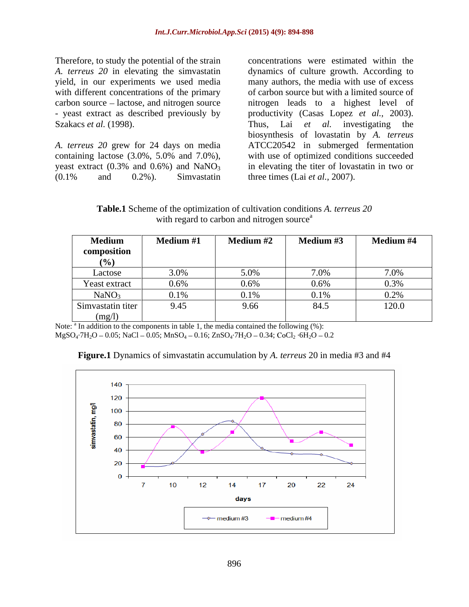Therefore, to study the potential of the strain yield, in our experiments we used media

 $(0.1\%$  and  $0.2\%$ ). Simvastatin three times (Lai *et al.*, 2007).

*A. terreus 20* in elevating the simvastatin dynamics of culture growth. According to with different concentrations of the primary of carbon source but with a limited source of carbon source lactose, and nitrogen source nitrogen leads to a highest level of - yeast extract as described previously by productivity (Casas Lopez *et al.,* 2003). Szakacs *et al.* (1998). Thus, Lai *et al.* investigating the *A. terreus 20* grew for 24 days on media ATCC20542 in submerged fermentation containing lactose (3.0%, 5.0% and 7.0%), with use of optimized conditions succeeded yeast extract  $(0.3\%$  and  $0.6\%)$  and  $NaNO<sub>3</sub>$  in elevating the titer of lovastatin in two or concentrations were estimated within the many authors, the media with use of excess biosynthesis of lovastatin by *A. terreus* three times (Lai *et al.,* 2007).

**Table.1** Scheme of the optimization of cultivation conditions *A. terreus 20* with regard to carbon and nitrogen source $a$ 

| <b>Medium</b>     | <b>Medium #1</b> | <b>Medium #2</b> | $Modium \#3$ | Medium #4    |
|-------------------|------------------|------------------|--------------|--------------|
| composition       |                  |                  |              |              |
| UZ01              |                  |                  |              |              |
| Lactose           | 3.0%             | $5.00\%$         | $7.0\%$      |              |
| Yeast extract     | $0.6\%$          | 0.6%             | $0.6\%$      | 0.3%         |
| NaNO <sub>3</sub> | $0.1\%$          | $0.1\%$          | 0.1%         | $\Omega$ 20/ |
| Simvastatin titer | 9.45             | 9.66             | 84.5         | 120.0        |
| (mg/l)            |                  |                  |              |              |

Note:  $\frac{a}{b}$  In addition to the components in table 1, the media contained the following (%):  $MgSO_4$ <sup>-</sup> $7H_2O - 0.05$ ; NaCl - 0.05; MnSO<sub>4</sub> - 0.16; ZnSO<sub>4</sub> $-7H_2O - 0.34$ ; CoCl<sub>2</sub>  $-6H_2O - 0.2$ 



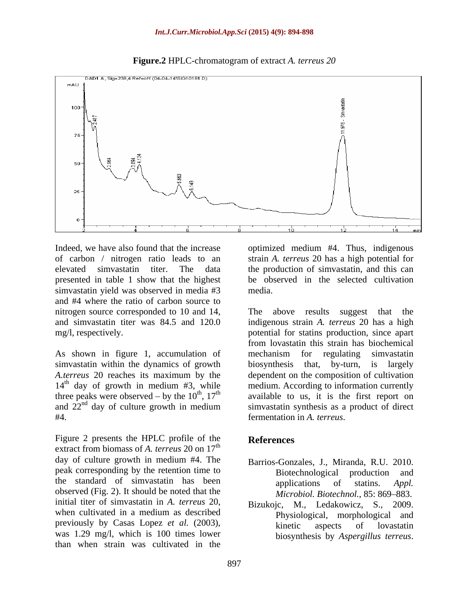

**Figure.2** HPLC-chromatogram of extract *A. terreus 20*

Indeed, we have also found that the increase optimized medium #4. Thus, indigenous of carbon / nitrogen ratio leads to an strain *A. terreus* 20 has a high potential for elevated simvastatin titer. The data the production of simvastatin, and this can presented in table 1 show that the highest be observed in the selected cultivation simvastatin yield was observed in media #3 media. and #4 where the ratio of carbon source to nitrogen source corresponded to 10 and 14, The above results suggest that the

As shown in figure 1, accumulation of mechanism for regulating simvastatin simvastatin within the dynamics of growth biosynthesis that, by-turn, is largely  $14<sup>th</sup>$  day of growth in medium #3, while #4. fermentation in *A. terreus*.

Figure 2 presents the HPLC profile of the References extract from biomass of A, *terreus* 20 on 17<sup>th</sup> day of culture growth in medium #4. The peak corresponding by the retention time to Biotechnological production and the standard of simvastatin has been applications of stating Appl. observed (Fig. 2). It should be noted that the initial titer of simvastatin in *A. terreus* 20, when cultivated in a medium as described previously by Casas Lopez *et al.* (2003), was 1.29 mg/l, which is 100 times lower than when strain was cultivated in the

media.

and simvastatin titer was 84.5 and 120.0 indigenousstrain *A. terreus* 20 has a high mg/l, respectively. potential for statins production, since apart *A.terreus* 20 reaches its maximum by the dependent on the composition of cultivation three peaks were observed – by the  $10^{th}$ ,  $17^{th}$  available to us, it is the first report on and  $22<sup>nd</sup>$  day of culture growth in medium simvastatin synthesis as a product of direct The above results suggest that the from lovastatin this strain has biochemical mechanism for regulating simvastatin biosynthesis that, by-turn, is largely medium. According to information currently

### **References**

- Barrios-Gonzales, J., Miranda, R.U. 2010. Biotechnological production and applications of statins. *Appl. Microbiol. Biotechnol., 85: 869-883.*
- Bizukojc, M., Ledakowicz, S., 2009. Physiological, morphological and kinetic aspects of lovastatin biosynthesis by *Aspergillus terreus*.